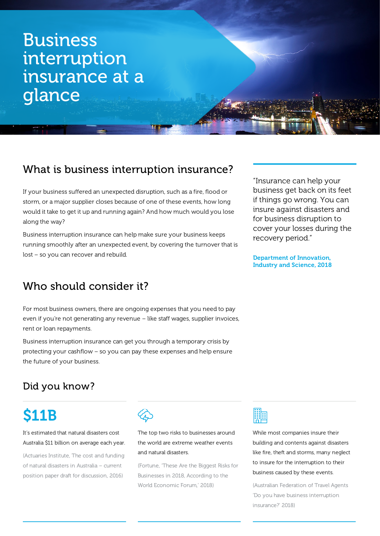# Business interruption insurance at a glance

## What is business interruption insurance?

If your business suffered an unexpected disruption, such as a fire, flood or storm, or a major supplier closes because of one of these events, how long would it take to get it up and running again? And how much would you lose along the way?

Business interruption insurance can help make sure your business keeps running smoothly after an unexpected event, by covering the turnover that is lost – so you can recover and rebuild.

## Who should consider it?

For most business owners, there are ongoing expenses that you need to pay even if you're not generating any revenue – like staff wages, supplier invoices, rent or loan repayments.

Business interruption insurance can get you through a temporary crisis by protecting your cashflow – so you can pay these expenses and help ensure the future of your business.

Did you know?

# \$11B

#### It's estimated that natural disasters cost Australia \$11 billion on average each year.

(Actuaries Institute, The cost and funding of natural disasters in Australia – current position paper draft for discussion, 2016)



The top two risks to businesses around the world are extreme weather events and natural disasters.

(Fortune, 'These Are the Biggest Risks for Businesses in 2018, According to the World Economic Forum,' 2018)



While most companies insure their building and contents against disasters like fire, theft and storms, many neglect to insure for the interruption to their business caused by these events.

(Australian Federation of Travel Agents 'Do you have business interruption insurance?' 2018)

"Insurance can help your business get back on its feet if things go wrong. You can insure against disasters and for business disruption to cover your losses during the recovery period."

Department of Innovation, Industry and Science, 2018